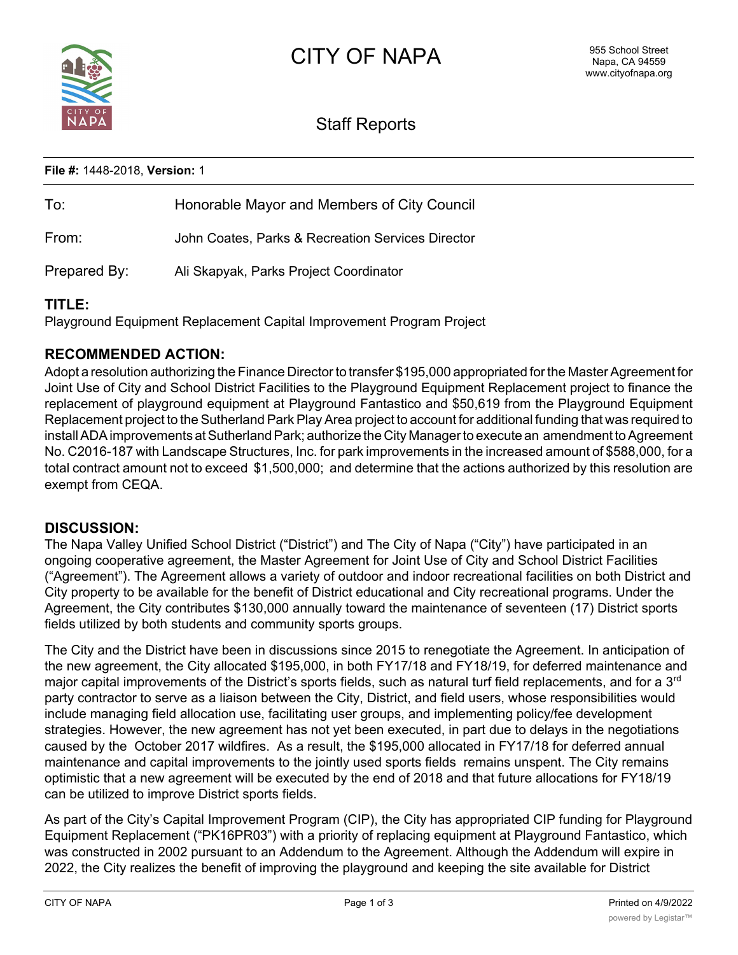

# Staff Reports

### **File #:** 1448-2018, **Version:** 1

| To:          | Honorable Mayor and Members of City Council       |
|--------------|---------------------------------------------------|
| From:        | John Coates, Parks & Recreation Services Director |
| Prepared By: | Ali Skapyak, Parks Project Coordinator            |

### **TITLE:**

Playground Equipment Replacement Capital Improvement Program Project

### **RECOMMENDED ACTION:**

Adopt a resolution authorizing the Finance Director to transfer \$195,000 appropriated for the Master Agreement for Joint Use of City and School District Facilities to the Playground Equipment Replacement project to finance the replacement of playground equipment at Playground Fantastico and \$50,619 from the Playground Equipment Replacement project to the Sutherland Park Play Area project to account for additional funding that was required to install ADA improvements at Sutherland Park; authorize the City Manager to execute an amendment to Agreement No. C2016-187 with Landscape Structures, Inc. for park improvements in the increased amount of \$588,000, for a total contract amount not to exceed \$1,500,000; and determine that the actions authorized by this resolution are exempt from CEQA.

### **DISCUSSION:**

The Napa Valley Unified School District ("District") and The City of Napa ("City") have participated in an ongoing cooperative agreement, the Master Agreement for Joint Use of City and School District Facilities ("Agreement"). The Agreement allows a variety of outdoor and indoor recreational facilities on both District and City property to be available for the benefit of District educational and City recreational programs. Under the Agreement, the City contributes \$130,000 annually toward the maintenance of seventeen (17) District sports fields utilized by both students and community sports groups.

The City and the District have been in discussions since 2015 to renegotiate the Agreement. In anticipation of the new agreement, the City allocated \$195,000, in both FY17/18 and FY18/19, for deferred maintenance and major capital improvements of the District's sports fields, such as natural turf field replacements, and for a 3<sup>rd</sup> party contractor to serve as a liaison between the City, District, and field users, whose responsibilities would include managing field allocation use, facilitating user groups, and implementing policy/fee development strategies. However, the new agreement has not yet been executed, in part due to delays in the negotiations caused by the October 2017 wildfires. As a result, the \$195,000 allocated in FY17/18 for deferred annual maintenance and capital improvements to the jointly used sports fields remains unspent. The City remains optimistic that a new agreement will be executed by the end of 2018 and that future allocations for FY18/19 can be utilized to improve District sports fields.

As part of the City's Capital Improvement Program (CIP), the City has appropriated CIP funding for Playground Equipment Replacement ("PK16PR03") with a priority of replacing equipment at Playground Fantastico, which was constructed in 2002 pursuant to an Addendum to the Agreement. Although the Addendum will expire in 2022, the City realizes the benefit of improving the playground and keeping the site available for District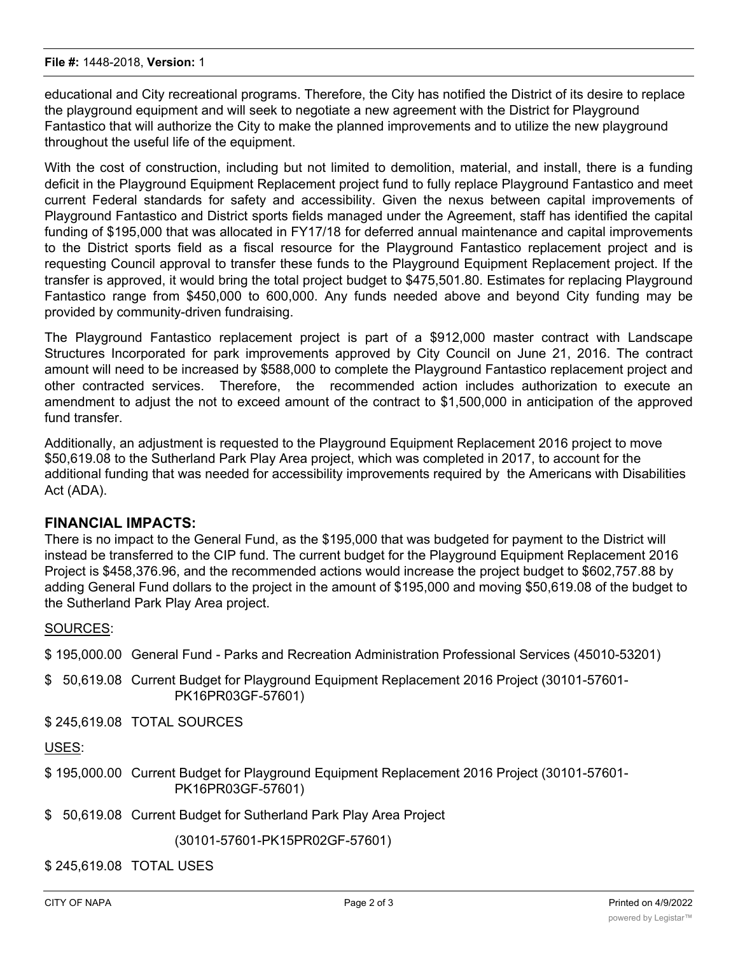#### **File #:** 1448-2018, **Version:** 1

educational and City recreational programs. Therefore, the City has notified the District of its desire to replace the playground equipment and will seek to negotiate a new agreement with the District for Playground Fantastico that will authorize the City to make the planned improvements and to utilize the new playground throughout the useful life of the equipment.

With the cost of construction, including but not limited to demolition, material, and install, there is a funding deficit in the Playground Equipment Replacement project fund to fully replace Playground Fantastico and meet current Federal standards for safety and accessibility. Given the nexus between capital improvements of Playground Fantastico and District sports fields managed under the Agreement, staff has identified the capital funding of \$195,000 that was allocated in FY17/18 for deferred annual maintenance and capital improvements to the District sports field as a fiscal resource for the Playground Fantastico replacement project and is requesting Council approval to transfer these funds to the Playground Equipment Replacement project. If the transfer is approved, it would bring the total project budget to \$475,501.80. Estimates for replacing Playground Fantastico range from \$450,000 to 600,000. Any funds needed above and beyond City funding may be provided by community-driven fundraising.

The Playground Fantastico replacement project is part of a \$912,000 master contract with Landscape Structures Incorporated for park improvements approved by City Council on June 21, 2016. The contract amount will need to be increased by \$588,000 to complete the Playground Fantastico replacement project and other contracted services. Therefore, the recommended action includes authorization to execute an amendment to adjust the not to exceed amount of the contract to \$1,500,000 in anticipation of the approved fund transfer.

Additionally, an adjustment is requested to the Playground Equipment Replacement 2016 project to move \$50,619.08 to the Sutherland Park Play Area project, which was completed in 2017, to account for the additional funding that was needed for accessibility improvements required by the Americans with Disabilities Act (ADA).

#### **FINANCIAL IMPACTS:**

There is no impact to the General Fund, as the \$195,000 that was budgeted for payment to the District will instead be transferred to the CIP fund. The current budget for the Playground Equipment Replacement 2016 Project is \$458,376.96, and the recommended actions would increase the project budget to \$602,757.88 by adding General Fund dollars to the project in the amount of \$195,000 and moving \$50,619.08 of the budget to the Sutherland Park Play Area project.

#### SOURCES:

\$ 195,000.00 General Fund - Parks and Recreation Administration Professional Services (45010-53201)

\$ 50,619.08 Current Budget for Playground Equipment Replacement 2016 Project (30101-57601- PK16PR03GF-57601)

\$ 245,619.08 TOTAL SOURCES

USES:

- \$ 195,000.00 Current Budget for Playground Equipment Replacement 2016 Project (30101-57601- PK16PR03GF-57601)
- \$ 50,619.08 Current Budget for Sutherland Park Play Area Project

(30101-57601-PK15PR02GF-57601)

\$ 245,619.08 TOTAL USES